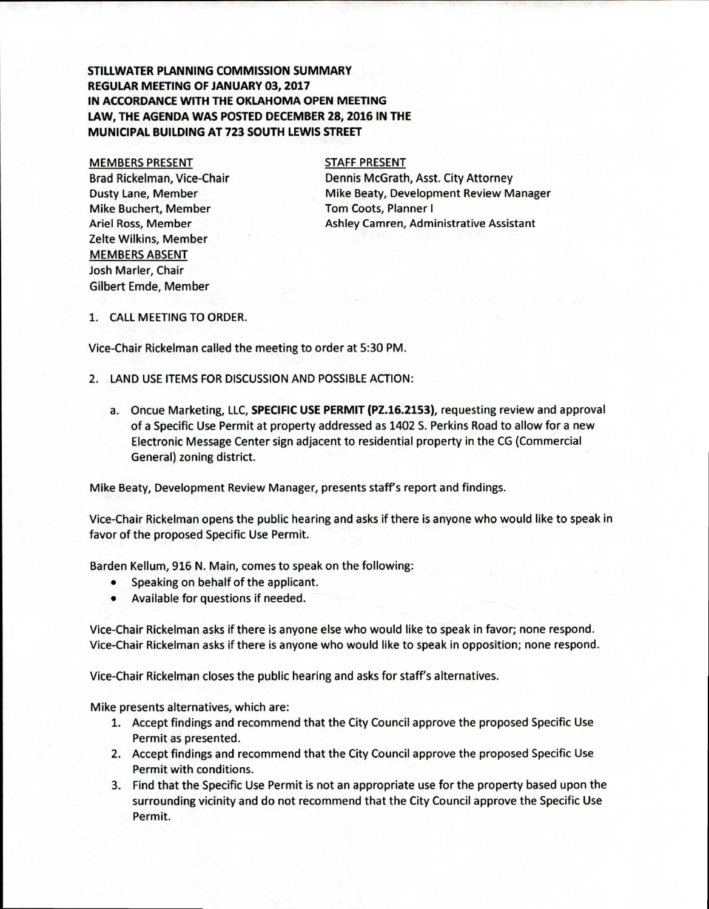## **STILLWATER PLANNING COMMISSION SUMMARY REGULAR MEETING OF JANUARY 03, 2017 IN ACCORDANCE WITH THE OKLAHOMA OPEN MEETING LAW, THE AGENDA WAS POSTED DECEMBER 28, 2016 IN THE MUNICIPAL BUILDING AT 723 SOUTH LEWIS STREET**

MEMBERS PRESENT Brad Rickelman, Vice-Chair Dusty Lane, Member Mike Buchert, Member Ariel Ross, Member Zelte Wilkins, Member MEMBERS ABSENT Josh Marler, Chair Gilbert Emde, Member

## STAFF PRESENT

Dennis McGrath, Asst. City Attorney Mike Beaty, Development Review Manager Tom Coots, Planner I Ashley Camren, Administrative Assistant

1. CALL MEETING TO ORDER.

Vice-Chair Rickelman called the meeting to order at 5:30 PM.

- 2. LAND USE ITEMS FOR DISCUSSION AND POSSIBLE ACTION:
	- a. Oncue Marketing, LLC, **SPECIFIC USE PERMIT (PZ.16.2153),** requesting review and approval of a Specific Use Permit at property addressed as 1402 S. Perkins Road to allow for a new Electronic Message Center sign adjacent to residential property in the CG (Commercial General) zoning district.

Mike Beaty, Development Review Manager, presents staff's report and findings.

Vice-Chair Rickelman opens the public hearing and asks if there is anyone who would like to speak in favor of the proposed Specific Use Permit.

Barden Kellum, 916 N. Main, comes to speak on the following:

- Speaking on behalf of the applicant.
- Available for questions if needed.

Vice-Chair Rickelman asks if there is anyone else who would like to speak in favor; none respond. Vice-Chair Rickelman asks if there is anyone who would like to speak in opposition; none respond.

Vice-Chair Rickelman closes the public hearing and asks for staff's alternatives.

Mike presents alternatives, which are:

- 1. Accept findings and recommend that the City Council approve the proposed Specific Use Permit as presented.
- 2. Accept findings and recommend that the City Council approve the proposed Specific Use Permit with conditions.
- 3. Find that the Specific Use Permit is not an appropriate use for the property based upon the surrounding vicinity and do not recommend that the City Council approve the Specific Use Permit.